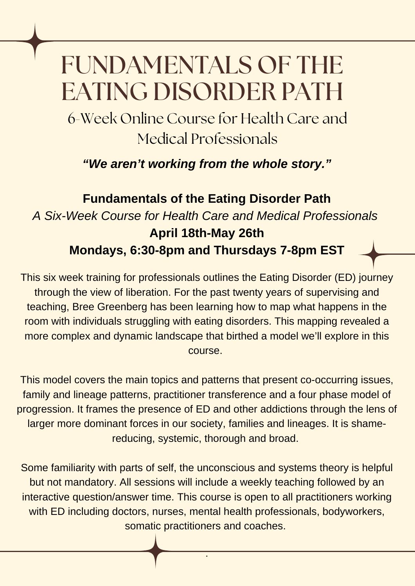## FUNDAMENTALS OF THE EATING DISORDER PATH

6-Week Online Course for Health Care and Medical Professionals

*"We aren't working from the whole story."*

## **Fundamentals of the Eating Disorder Path** *A Six-Week Course for Health Care and Medical Professionals* **April 18th-May 26th Mondays, 6:30-8pm and Thursdays 7-8pm EST**

This six week training for professionals outlines the Eating Disorder (ED) journey through the view of liberation. For the past twenty years of supervising and teaching, Bree Greenberg has been learning how to map what happens in the room with individuals struggling with eating disorders. This mapping revealed a more complex and dynamic landscape that birthed a model we'll explore in this course.

This model covers the main topics and patterns that present co-occurring issues, family and lineage patterns, practitioner transference and a four phase model of progression. It frames the presence of ED and other addictions through the lens of larger more dominant forces in our society, families and lineages. It is shamereducing, systemic, thorough and broad.

Some familiarity with parts of self, the unconscious and systems theory is helpful but not mandatory. All sessions will include a weekly teaching followed by an interactive question/answer time. This course is open to all practitioners working with ED including doctors, nurses, mental health professionals, bodyworkers, somatic practitioners and coaches.

.